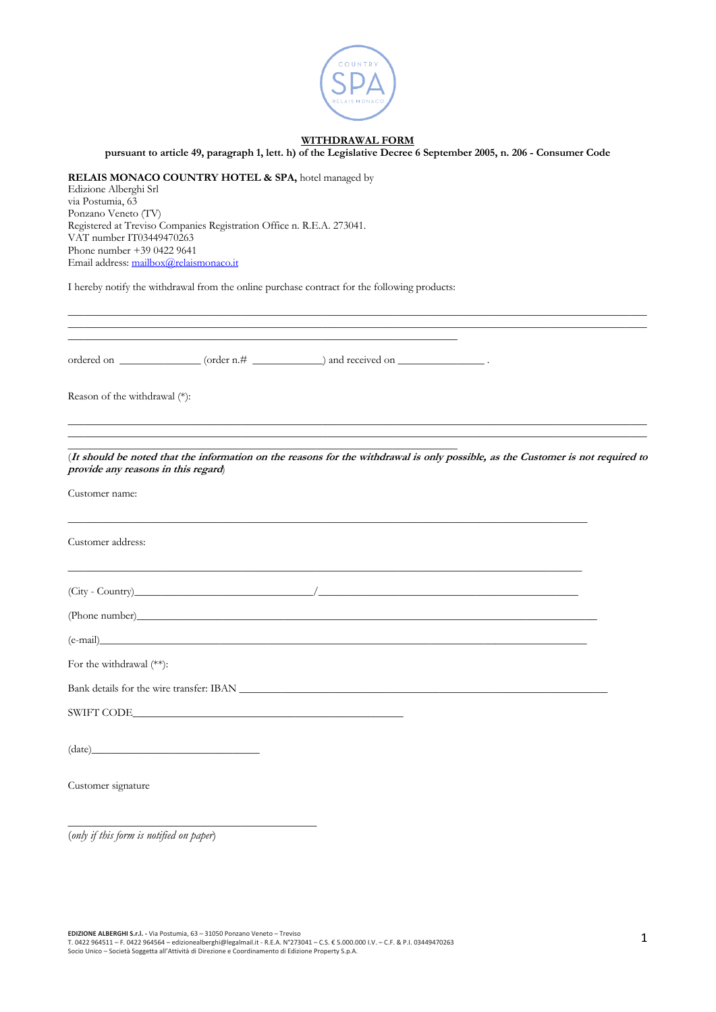

## **WITHDRAWAL FORM**

**pursuant to article 49, paragraph 1, lett. h) of the Legislative Decree 6 September 2005, n. 206 - Consumer Code**

\_\_\_\_\_\_\_\_\_\_\_\_\_\_\_\_\_\_\_\_\_\_\_\_\_\_\_\_\_\_\_\_\_\_\_\_\_\_\_\_\_\_\_\_\_\_\_\_\_\_\_\_\_\_\_\_\_\_\_\_\_\_\_\_\_\_\_\_\_\_\_\_\_\_\_\_\_\_\_\_\_\_\_\_\_\_\_\_\_\_\_\_\_\_\_\_\_\_\_\_\_\_\_\_\_\_\_

**RELAIS MONACO COUNTRY HOTEL & SPA,** hotel managed by Edizione Alberghi Srl via Postumia, 63 Ponzano Veneto (TV) Registered at Treviso Companies Registration Office n. R.E.A. 273041. VAT number IT03449470263 Phone number +39 0422 9641 Email address: mailbox@relaismonaco.it

I hereby notify the withdrawal from the online purchase contract for the following products:

\_\_\_\_\_\_\_\_\_\_\_\_\_\_\_\_\_\_\_\_\_\_\_\_\_\_\_\_\_\_\_\_\_\_\_\_\_\_\_\_\_\_\_\_\_\_\_\_\_\_\_\_\_\_\_\_\_\_\_\_\_\_\_\_\_\_\_\_\_\_\_\_\_\_\_\_\_\_\_\_\_\_\_\_\_\_\_\_\_\_\_\_\_\_\_\_\_\_\_\_\_\_\_\_\_\_\_ \_\_\_\_\_\_\_\_\_\_\_\_\_\_\_\_\_\_\_\_\_\_\_\_\_\_\_\_\_\_\_\_\_\_\_\_\_\_\_\_\_\_\_\_\_\_\_\_\_\_\_\_\_\_\_\_\_\_\_\_\_\_\_\_\_\_\_\_\_\_\_\_ ordered on  $\_\_\_\_\_\_\_\_\_\_\_\_\_\_\_\_\_\_\_$  (order n.#  $\_\_\_\_\_\_\_\_\_\_\_\_\_\_\_\_\_\_\_$  and received on  $\_\_\_\_\_\_\_\_\_\_\_\_$ . Reason of the withdrawal (\*): \_\_\_\_\_\_\_\_\_\_\_\_\_\_\_\_\_\_\_\_\_\_\_\_\_\_\_\_\_\_\_\_\_\_\_\_\_\_\_\_\_\_\_\_\_\_\_\_\_\_\_\_\_\_\_\_\_\_\_\_\_\_\_\_\_\_\_\_\_\_\_\_\_\_\_\_\_\_\_\_\_\_\_\_\_\_\_\_\_\_\_\_\_\_\_\_\_\_\_\_\_\_\_\_\_\_\_ \_\_\_\_\_\_\_\_\_\_\_\_\_\_\_\_\_\_\_\_\_\_\_\_\_\_\_\_\_\_\_\_\_\_\_\_\_\_\_\_\_\_\_\_\_\_\_\_\_\_\_\_\_\_\_\_\_\_\_\_\_\_\_\_\_\_\_\_\_\_\_\_\_\_\_\_\_\_\_\_\_\_\_\_\_\_\_\_\_\_\_\_\_\_\_\_\_\_\_\_\_\_\_\_\_\_\_ \_\_\_\_\_\_\_\_\_\_\_\_\_\_\_\_\_\_\_\_\_\_\_\_\_\_\_\_\_\_\_\_\_\_\_\_\_\_\_\_\_\_\_\_\_\_\_\_\_\_\_\_\_\_\_\_\_\_\_\_\_\_\_\_\_\_\_\_\_\_\_\_ (**It should be noted that the information on the reasons for the withdrawal is only possible, as the Customer is not required to provide any reasons in this regard**) Customer name: \_\_\_\_\_\_\_\_\_\_\_\_\_\_\_\_\_\_\_\_\_\_\_\_\_\_\_\_\_\_\_\_\_\_\_\_\_\_\_\_\_\_\_\_\_\_\_\_\_\_\_\_\_\_\_\_\_\_\_\_\_\_\_\_\_\_\_\_\_\_\_\_\_\_\_\_\_\_\_\_\_\_\_\_\_\_\_\_\_\_\_\_\_\_\_\_ Customer address: \_\_\_\_\_\_\_\_\_\_\_\_\_\_\_\_\_\_\_\_\_\_\_\_\_\_\_\_\_\_\_\_\_\_\_\_\_\_\_\_\_\_\_\_\_\_\_\_\_\_\_\_\_\_\_\_\_\_\_\_\_\_\_\_\_\_\_\_\_\_\_\_\_\_\_\_\_\_\_\_\_\_\_\_\_\_\_\_\_\_\_\_\_\_\_ (City - Country)\_\_\_\_\_\_\_\_\_\_\_\_\_\_\_\_\_\_\_\_\_\_\_\_\_\_\_\_\_\_\_\_\_/\_\_\_\_\_\_\_\_\_\_\_\_\_\_\_\_\_\_\_\_\_\_\_\_\_\_\_\_\_\_\_\_\_\_\_\_\_\_\_\_\_\_\_\_\_\_\_\_ (Phone number)\_\_\_\_\_\_\_\_\_\_\_\_\_\_\_\_\_\_\_\_\_\_\_\_\_\_\_\_\_\_\_\_\_\_\_\_\_\_\_\_\_\_\_\_\_\_\_\_\_\_\_\_\_\_\_\_\_\_\_\_\_\_\_\_\_\_\_\_\_\_\_\_\_\_\_\_\_\_\_\_\_\_\_\_\_  $(e\text{-mail})$ For the withdrawal (\*\*):

Bank details for the wire transfer: IBAN \_\_\_\_\_\_\_\_\_\_\_\_\_\_\_\_\_\_\_\_\_\_\_\_\_\_\_\_\_\_\_\_\_\_\_\_\_\_\_\_\_\_\_\_\_\_\_\_\_\_\_\_\_\_\_\_\_\_\_\_\_\_\_\_\_\_\_\_

SWIFT CODE\_\_\_\_\_\_\_\_\_\_\_\_\_\_\_\_\_\_\_\_\_\_\_\_\_\_\_\_\_\_\_\_\_\_\_\_\_\_\_\_\_\_\_\_\_\_\_\_\_\_

 $(\text{date})$ 

\_\_\_\_\_\_\_\_\_\_\_\_\_\_\_\_\_\_\_\_\_\_\_\_\_\_\_\_\_\_\_\_\_\_\_\_\_\_\_\_\_\_\_\_\_\_

Customer signature

(*only if this form is notified on paper*)